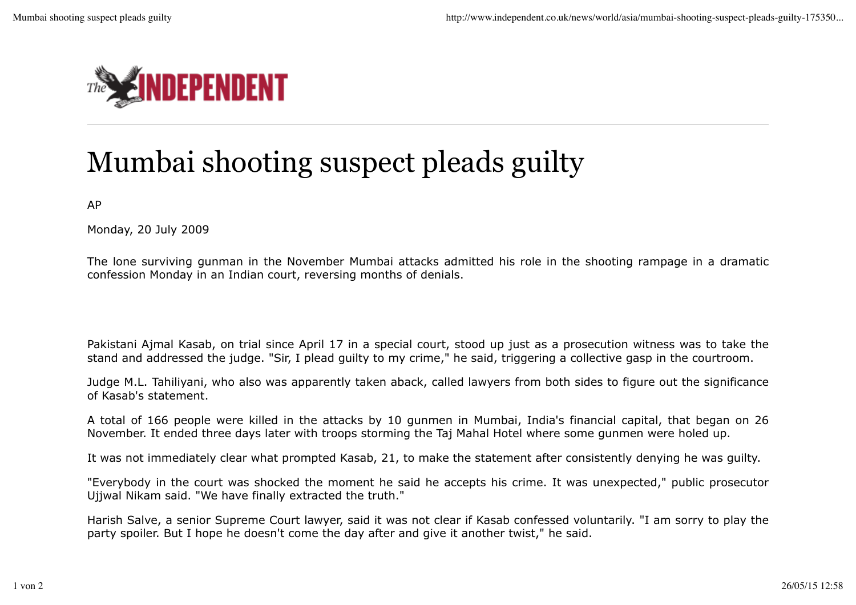

## Mumbai shooting suspect pleads guilty

AP

Monday, 20 July 2009

The lone surviving gunman in the November Mumbai attacks admitted his role in the shooting rampage in a dramatic confession Monday in an Indian court, reversing months of denials.

Pakistani Ajmal Kasab, on trial since April 17 in a special court, stood up just as a prosecution witness was to take the stand and addressed the judge. "Sir, I plead guilty to my crime," he said, triggering a collective gasp in the courtroom.

Judge M.L. Tahiliyani, who also was apparently taken aback, called lawyers from both sides to figure out the significance of Kasab's statement.

A total of 166 people were killed in the attacks by 10 gunmen in Mumbai, India's financial capital, that began on 26 November. It ended three days later with troops storming the Taj Mahal Hotel where some gunmen were holed up.

It was not immediately clear what prompted Kasab, 21, to make the statement after consistently denying he was guilty.

"Everybody in the court was shocked the moment he said he accepts his crime. It was unexpected," public prosecutor Ujjwal Nikam said. "We have finally extracted the truth."

Harish Salve, a senior Supreme Court lawyer, said it was not clear if Kasab confessed voluntarily. "I am sorry to play the party spoiler. But I hope he doesn't come the day after and give it another twist," he said.